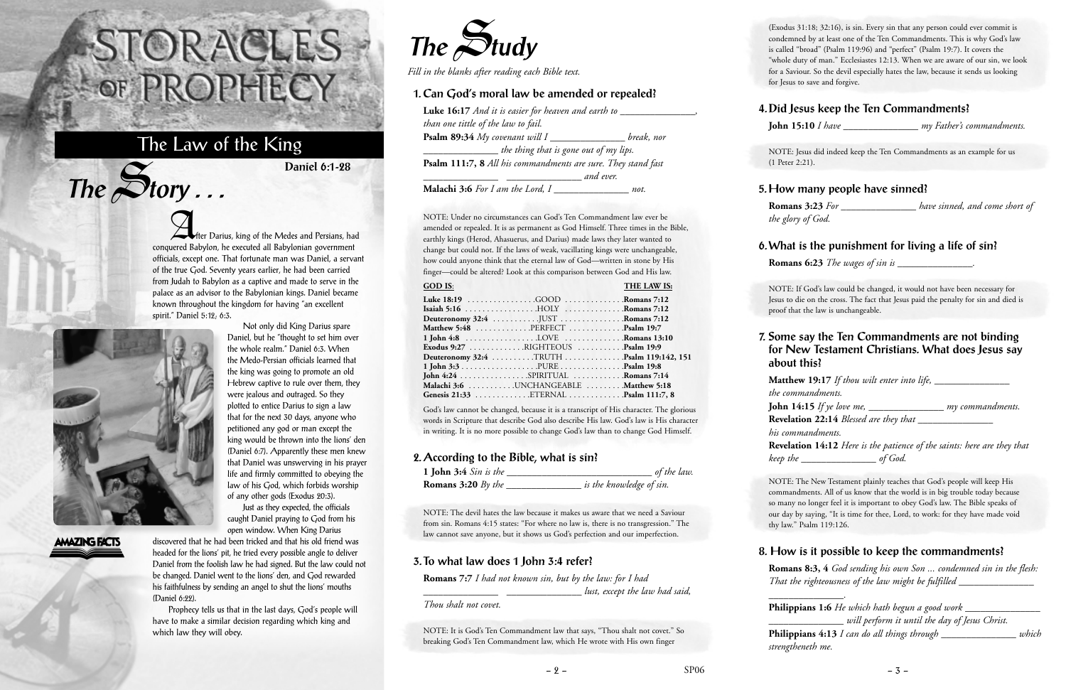**After Darius, king of the Medes and Persians, had** conquered Babylon, he executed all Babylonian government officials, except one. That fortunate man was Daniel, a servant of the true God. Seventy years earlier, he had been carried from Judah to Babylon as a captive and made to serve in the palace as an advisor to the Babylonian kings. Daniel became known throughout the kingdom for having "an excellent spirit." Daniel 5:12; 6:3.



 $The$  $S$ **tory** ...

### **AMAZING FACTS**

Not only did King Darius spare Daniel, but he "thought to set him over the whole realm." Daniel 6:3. When the Medo-Persian officials learned that the king was going to promote an old Hebrew captive to rule over them, they were jealous and outraged. So they plotted to entice Darius to sign a law that for the next 30 days, anyone who petitioned any god or man except the king would be thrown into the lions' den (Daniel 6:7). Apparently these men knew that Daniel was unswerving in his prayer life and firmly committed to obeying the law of his God, which forbids worship of any other gods (Exodus 20:3).

Just as they expected, the officials caught Daniel praying to God from his open window. When King Darius

discovered that he had been tricked and that his old friend was headed for the lions' pit, he tried every possible angle to deliver Daniel from the foolish law he had signed. But the law could not be changed. Daniel went to the lions' den, and God rewarded his faithfulness by sending an angel to shut the lions' mouths (Daniel 6:22).

Prophecy tells us that in the last days, God's people will have to make a similar decision regarding which king and which law they will obey.

# STORACLES-OF PROPHECY

## The Law of the King

**Daniel 6:1-28**



*Fill in the blanks after reading each Bible text.*

#### **1. Can God's moral law be amended or repealed?**

| <b>Luke 16:1</b> 7 And it is easier for heaven and earth to $\_\_$ |            |
|--------------------------------------------------------------------|------------|
| than one tittle of the law to fail.                                |            |
| <b>Psalm 89:34</b> My covenant will I                              | break, nor |
| the thing that is gone out of my lips.                             |            |
| Psalm 111:7, 8 All his commandments are sure. They stand fast      |            |
|                                                                    | and ever.  |
| <b>Malachi 3:6</b> For I am the Lord, I _______                    | not.       |
|                                                                    |            |

NOTE: Under no circumstances can God's Ten Commandment law ever be amended or repealed. It is as permanent as God Himself. Three times in the Bible, earthly kings (Herod, Ahasuerus, and Darius) made laws they later wanted to change but could not. If the laws of weak, vacillating kings were unchangeable, how could anyone think that the eternal law of God—written in stone by His finger—could be altered? Look at this comparison between God and His law.

| <b>GOD IS:</b> |                                           | THE LAW IS: |
|----------------|-------------------------------------------|-------------|
|                |                                           |             |
|                |                                           |             |
|                |                                           |             |
|                | Matthew 5:48 PERFECT Psalm 19:7           |             |
|                |                                           |             |
|                | <b>Exodus 9:27</b> RIGHTEOUS Psalm 19:9   |             |
|                | Deuteronomy 32:4 TRUTH Psalm 119:142, 151 |             |
|                |                                           |             |
|                | John 4:24 SPIRITUAL Romans 7:14           |             |
|                | Malachi 3:6 UNCHANGEABLE Matthew 5:18     |             |
|                |                                           |             |

God's law cannot be changed, because it is a transcript of His character. The glorious words in Scripture that describe God also describe His law. God's law is His character in writing. It is no more possible to change God's law than to change God Himself.

#### **2. According to the Bible, what is sin?**

| 1 John 3:4 $Sin\ is\ the$        | of the law.              |
|----------------------------------|--------------------------|
| <b>Romans</b> 3:20 <i>By the</i> | is the knowledge of sin. |

NOTE: The devil hates the law because it makes us aware that we need a Saviour from sin. Romans 4:15 states: "For where no law is, there is no transgression." The law cannot save anyone, but it shows us God's perfection and our imperfection.

#### **3. To what law does 1 John 3:4 refer?**

**Romans 7:7** *I had not known sin, but by the law: for I had*

*\_\_\_\_\_\_\_\_\_\_\_\_\_\_\_ \_\_\_\_\_\_\_\_\_\_\_\_\_\_\_ lust, except the law had said,*

*Thou shalt not covet.*

NOTE: It is God's Ten Commandment law that says, "Thou shalt not covet." So breaking God's Ten Commandment law, which He wrote with His own finger

*his commandments*.

 $keep$ 

(Exodus 31:18; 32:16), is sin. Every sin that any person could ever commit is condemned by at least one of the Ten Commandments. This is why God's law is called "broad" (Psalm 119:96) and "perfect" (Psalm 19:7). It covers the "whole duty of man." Ecclesiastes 12:13. When we are aware of our sin, we look for a Saviour. So the devil especially hates the law, because it sends us looking for Jesus to save and forgive.

#### **4. Did Jesus keep the Ten Commandments?**

**John 15:10** *I have \_\_\_\_\_\_\_\_\_\_\_\_\_\_\_ my Father's commandments.*

NOTE: Jesus did indeed keep the Ten Commandments as an example for us (1 Peter 2:21).

#### **5. How many people have sinned?**

**Romans 3:23** *For \_\_\_\_\_\_\_\_\_\_\_\_\_\_\_ have sinned, and come short of the glory of God.*

#### **6. What is the punishment for living a life of sin?**

**Romans 6:23** *The wages of sin is \_\_\_\_\_\_\_\_\_\_\_\_\_\_\_.*

NOTE: If God's law could be changed, it would not have been necessary for Jesus to die on the cross. The fact that Jesus paid the penalty for sin and died is proof that the law is unchangeable.

#### **7. Some say the Ten Commandments are not binding for New Testament Christians. What does Jesus say about this?**

| Matthew 19:17 If thou wilt enter into life, ____                        |  |
|-------------------------------------------------------------------------|--|
| the commandments.                                                       |  |
| <b>John 14:15</b> If ye love me, $\frac{1}{1}$ my commandments.         |  |
| <b>Revelation 22:14</b> Blessed are they that _____                     |  |
| his commandments.                                                       |  |
| Revelation 14:12 Here is the patience of the saints: here are they that |  |
|                                                                         |  |

NOTE: The New Testament plainly teaches that God's people will keep His commandments. All of us know that the world is in big trouble today because so many no longer feel it is important to obey God's law. The Bible speaks of our day by saying, "It is time for thee, Lord, to work: for they have made void thy law." Psalm 119:126.

#### **8. How is it possible to keep the commandments?**

**Romans 8:3, 4** *God sending his own Son ... condemned sin in the flesh: That the righteousness of the law might be fulfilled \_\_\_\_\_\_\_\_\_\_\_\_\_\_\_*

*\_\_\_\_\_\_\_\_\_\_\_\_\_\_\_.* Philippians 1:6 *He which hath begun a good work \_\_\_\_\_\_\_\_\_\_\_\_\_\_\_ will perform it until the day of Jesus Christ.* **Philippians 4:13** *I can do all things through \_\_\_\_\_\_\_\_\_\_\_\_\_\_\_ which strengtheneth me.*